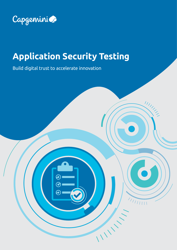

# **Application Security Testing**

 $\begin{array}{c|c} \begin{array}{c} \begin{array}{c} \end{array} \\ \begin{array}{c} \end{array} \\ \begin{array}{c} \end{array} \\ \begin{array}{c} \end{array} \\ \begin{array}{c} \end{array} \end{array} \end{array}$ 

IIIII

Build digital trust to accelerate innovation

0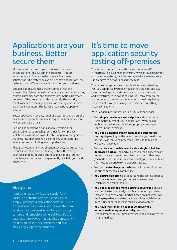### Applications are your business. Better secure them

Most of what matters to your business is delivered by applications. The customer experience. Product enhancements. Operational efficiency. Employee satisfaction. The faster you can deliver new applications, the faster you can differentiate and transform your business.

But applications are also a major source of risk and vulnerability. Cybercriminals target applications because they contain customer data and sensitive information. However, because of the pressure to release quickly, the security checks needed to manage applications and systems in depth are often incomplete. This leaves organizations open to attacks.

Better application security requires better testing across the development process. But it also requires a broader view of why testing is so critical.

Securing applications is not just about avoiding the unthinkable - data breaches, penalties for compliance violations, class-action lawsuits, etc. Capgemini recognizes that securing applications is also the key to accelerating innovation and exploiting new opportunities.

That is why Capgemini's Application Security Testing service is much more than another testing option. By testing all of your Web, mobile, desktop business applications - quickly, completely, expertly, and independently - we help you build digital trust.

### **At a glance**

Application Security Testing is a platformbased, on demand, pay-per-use service. You simply upload your application code or URL via a portal, and our expert auditors scan them and send you comprehensive results quickly, so you can see and remediate vulnerabilities. It's the easy, accurate way to meet application security targets, guide security decisions, and costefficiently support the business.

### It's time to move application security testing off-premises

The move to network-based business models and IT infrastructure is gaining momentum. Why continue to pay for on-premises systems, facilities and specialists, when you can simply move to network-based services?

The same concept applies to application security testing. Yes, you can do it all yourself. You can recruit, hire, and pay security testing specialists. You can purchase the tools and infrastructure to do the testing. You can establish the processes and compliance procedures to meet regulatory requirements. You can manage and maintain everything internally. But why?

With Capgemini's Application Security Testing service:

- **• You simply purchase a subscription** and our experts systematically test all your applications - Web-based, mobile, or business applications, proprietary or open source - prior to release.
- **• You get a balanced mix of manual and automated testing** depending on the level of service you need, using best-in-class tools and processes from Capgemini and world-class partners.
- **• You receive actionable results via a single, intuitive dedicated portal.** The portal gives you the ability to scan requests, review results, and view dashboards that help you understand your application security posture and build the most appropriate remediation strategy.
- **• You can customize your dashboards** in terms of business priorities or technical complexity.
- **• You ensure objectivity** by separating the testing process from development, and you get a whole new level of scalability and repeatability.
- **• You get broader and more accurate coverage** because we combine top-tier analyst tools, continuously updated threat intelligence, and expertise based on many years of testing experience to detect vulnerabilities - all delivered by security experts based in multiple geographies.
- **• You have the flexibility to test wherever you undertake development activity,** ensuring responsiveness to your time pressures and enabling faster time to market.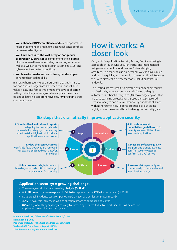- **• You enhance GDPR compliance** and overall application risk management and highlight potential license conflicts or unwanted obligations.
- **• You have access to the vast array of Capgemini cybersecurity services** to complement the expertise of your internal teams - including consulting services as well as a wealth of managed security services (MSS) and cybersecurity monitoring options.
- **• You learn to create secure code** as your developers enhance their coding skills.

In an era when security specialists are increasingly hard to find and CapEx budgets are stretched thin, our solution makes it easy and fast to implement effective application testing - whether you have just a few applications or are looking to launch a comprehensive security program across your organization.

### How it works: A closer look

Capgemini's Application Security Testing Service offering is accessible through One Security Portal and implemented using a secure public cloud service. This underlying architecture is ready to use on-demand. We can have you up and running quickly, and our rapid turnaround time integrates well with different delivery methods, including Waterfall and Agile.

The testing process itself is delivered by Capgemini security professionals, whose expertise is reinforced by highly automated artificial intelligence (AI) knowledge engines that increase scanning effectiveness. Based on six structured steps we analyze and run simultaneously hundreds of scans within short timelines. Reports produced by our teams highlight weaknesses and how to strengthen security gates.



### **Six steps that dramatically improve application security**

#### **Application security: A growing challenge.**

- The average cost of a data breach globally is **\$3.92M1**
- **• 8.4 billion** records were exposed in Q1 2020, representing a **273%** increase over Q1 20192
- Data breach incidents cost companies **\$150** on average per lost or stolen record3
- **• 43%** A two-fold increase in web application breaches [compared to 20194](https://www.sdxcentral.com/articles/news/verizon-report-71-of-breaches-financially-motivated/2019/05/)
- **• 87%** in a global study say they are likely to suffer a cyber-attack due to poorly secured IoT devices or applications over the next two years<sup>5</sup>

**1 [Ponemon Institute, "The Cost of a Data Breach," 2019](https://www.ibm.com/security/data-breach) [2Dark Reading, 2020](https://www.darkreading.com/attacks-breaches/data-breaches-declined-in-q1-2020-over-q1-2019----or-did-they/d/d-id/1337788) [3Ponemon Institute, "The Cost of a Data Breach," 2019](https://databreachcalculator.mybluemix.net/?_ga=2.142648181.1341389696.1592372200-1201375638.1592372200&cm_mc_uid=52101302692915923721992&cm_mc_sid_50200000=50075661592380314496&cm_mc_sid_52640000=58454631592380314517) [4Verizon 2020 Data Breach Report \(DIBR\)](https://www.sdxcentral.com/articles/news/verizon-data-breach-report-finds-web-application-attacks-doubled/2020/05/#:~:text=Credential%20theft%20(37%25)%20and,%2C%20which%20jumped%20to%2043%25.) [52019 Research Study - Ponemon Institute](https://gdpr.report/news/2019/05/09/inadequate-security-sees-surge-in-iot-data-breaches-study-shows/#:~:text=Research%20finds%20that%20the%20number,the%20previous%20figure%20of%2015%25.)**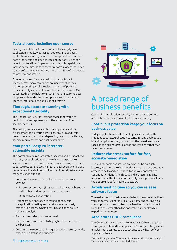### **Tests all code, including open source**

Our highly scalable solution is suitable for every type of application: mobile, web-based, desktop, and business applications, including mission-critical applications. We test both proprietary and open source applications. Given the recent proliferation of open source code, this capability is increasingly critical. In fact, [recent reports suggest](https://techbeacon.com/security/state-open-source-commercial-apps-youre-using-more-you-) that open source software now makes up more than 35% of the average commercial application.7

As open source software is redistributed outside its license terms, many companies are unaware that they are compromising intellectual property, or of potential critical security vulnerabilities embedded in the code. Our automated service helps to uncover these risks, remediate as appropriate and enforce compliance with open source licenses throughout the application lifecycle.

### **Thorough, accurate scanning with exceptional flexibility**

The Application Security Testing service is powered by our industrialized approach, and the expertise of our security experts.

The testing service is available from anywhere and the flexibility of the platform allows easy scale-up and scaledown of scanning activities depending on your growth rate, specific requirements and quality standards.

### **Your portal: easy-to-interpret, actionable insights**

The portal provides an integrated, secured and personalized view of your applications and how they are exposed to security threats. For development teams, it's easy to upload code, see results, and use a variety of dashboards to find and remediate vulnerabilities. A full range of portal features are ready to use, including:

- Role-based access controls that determine who can do what
	- Secure Sockets Layer (SSL) user authentication based on certificates to identify the user to the server
	- Multi-factor authentication
- A standardized approach to managing requests for application testing, such as static scan request, remediation scans, dynamic testing, and open source software analysis
- Standardized false-positive removal
- Standardized dashboards to highlight potential risks to the business
- Customizable reports to highlight security posture, trends, remediation status and priorities



## A broad range of business benefits

Capgemini's Application Security Testing service delivers unique business value on multiple fronts, including:

### **Continuous protection keeps your focus on business value**

Today's application development cycles are short, with frequent updates. Application Security Testing enables you to audit applications regularly across the board, so you can focus on the business value of the applications rather than security concerns.

### **Reduces the attack surface for fast, accurate remediation**

Our audits enable application breaches to be precisely located, weaknesses to be effectively targeted, and potential attacks to be thwarted. By monitoring your applications continuously, identifying threats and protecting against malicious acts, the Application Security Testing service limits the opportunities for hackers to attack.

### **Avoids wasting time so you can release software faster**

The earlier security tests are carried out, the more effectively you can correct vulnerabilities. By automating testing on all your applications, and by testing when the project is about to go live, we strengthen the application's security while expediting its release.

### **Accelerates GDPR compliance**

The General Data Protection Regulation (GDPR) strengthens security controls, and the Application Security Testing service enables your business to place security at the heart of your application layers.

[7Source: Pittenger, Mike. "The state of open source in commercial apps:](7Source: Pittenger, Mike. “The state of open source in commercial apps: You’re using more than you t)  [You're using more than you think." TechBeacon](7Source: Pittenger, Mike. “The state of open source in commercial apps: You’re using more than you t)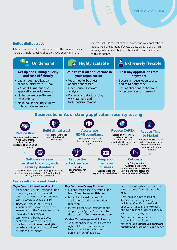### **Builds digital trust**

testing coverage scope by **68% • 100%** of OWASP Top 10 critical vulnerabilities uncovered by deep assessment of the 3 key layers which

make up all Mobile Apps • Strongly contributed to boost bank's ambition to be a leader able to provide **innovative digital solutions** to improve knowledge of

customer investments

All companies fear the consequences of the press and social media channels revealing that they have been victim of a

cyberattack. On the other hand, protecting your applications across the development lifecycle create digital trust, which allows you to accelerate innovation and business initiatives with confidence.



- More than halved the cost of application security testing: **57%** reduction
	- Increasing scope of testing without dropping the "go live" pace vital to the customer's **business reputation**

#### **Central Tax Management Authority**

- Application Security Testing was the right solution to uncover various levels of risks in Apps holding personally identifiable data.
- Detailed guidelines regarding Application Security Testing facilitated Client's understanding of Security Risks and how to best optimize testing budget to be fully secure before going live
- Fast track implementation and deployment of testing methodologies **improved software quality and customer's confidence**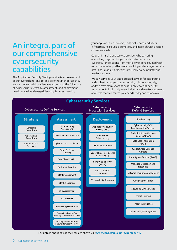### An integral part of our comprehensive cybersecurity capabilities

The Application Security Testing service is a core element of our overarching, end-to-end offerings in cybersecurity. We can deliver Advisory Services addressing the full range of cybersecurity strategy, assessment, and deployment needs, as well as Managed Security Services covering

your applications, networks, endpoints, data, end users, infrastructure, clouds, perimeters, and more, all with a range of service levels.

Capgemini is the one service provider who can bring everything together for your enterprise: end-to-end cybersecurity solutions from multiple vendors, coupled with a comprehensive portfolio of consulting and managed service offerings - globally or locally, in virtually every industry and market segment.

We can serve as your single trusted advisor for integrating and orchestrating your cybersecurity solutions globally, and we have many years of experience covering security requirements in virtually every industry and market segment, at a scale that will match your needs today and tomorrow.



For details about any of the services above visit **[www.capgemini.com/cybersecurity](https://www.capgemini.com/service/cybersecurity-services/)**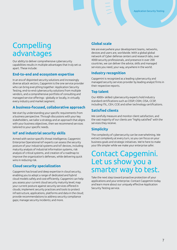## **Compelling** advantages

Our ability to deliver comprehensive cybersecurity capabilities results in multiple advantages that truly set us apart. These include:

### **End-to-end and ecosystem expertise**

In an era of disjointed security solutions and increasingly diverse attack vectors, Capgemini is the one service provider who can bring everything together: Application Security Testing, end-to-end cybersecurity solutions from multiple vendors, and a comprehensive portfolio of consulting and managed service offerings - globally or locally, in virtually every industry and market segment.

### **A business-focused, collaborative approach**

We start by understanding your specific requirements from a business perspective. Through discussions with your key stakeholders, we tailor a strategy and an approach that aligns with your business objectives, then we recommend services tailored to your specific needs.

### **IoT and industrial security skills**

Armed with sector-specific threat intelligence, Capgemini Enterprise Operational IoT experts can assess the security posture of your industrial systems and IoT devices, including maturity analysis of industrial information systems, risk analysis of critical systems, and creation of a roadmap to improve the organization's defenses, while delivering quick wins in reducing risk.

### **Cloud security specialization**

Capgemini has broad and deep expertise in cloud security, enabling you to adopt a range of dedicated and hybrid cloud models safely and cost-efficiently. Capgemini can help you assess your current cloud security maturity level; map your current posture against security services offered in clouds; implement security practices and tools to protect infrastructure, applications, platforms and data in the cloud; provide recommendations to address security compliance gaps; manage security incidents; and more.

### **Global scale**

We are everywhere your development teams, networks, devices and users are, worldwide. With a global global network of Cyber defense centers and research labs, over 4000 security professionals, and presence in over 200 countries, we can deliver the advice, skills and managed services you need, your way, anywhere in the world.

### **Industry recognition**

Capgemini is recognized as a leading cybersecurity and managed security services provider by leading analyst firms in their respective reports.

### **Top talent**

Our 4000+ skilled cybersecurity experts hold industry standard certifications such as CISSP, CISM, CISA, CCSP, including ITIL, CEH, CCIE and other technology certifications.

### **Satisfied clients**

We carefully measure and monitor client satisfaction, and the vast majority of our clients are "highly satisfied" with the services they receive.

### **Simplicity**

The complexity of cybersecurity can be overwhelming. We extract complexity at every turn, so you can focus on your business goals and strategic initiatives. We're here to make your life simpler while we make your enterprise safer.

### Contact Capgemini. Let us show you a smarter way to test.

Take the next step toward proactive protection of your applications and your enterprise. Contact Capgemini today and learn more about our uniquely effective Application Security Testing service.